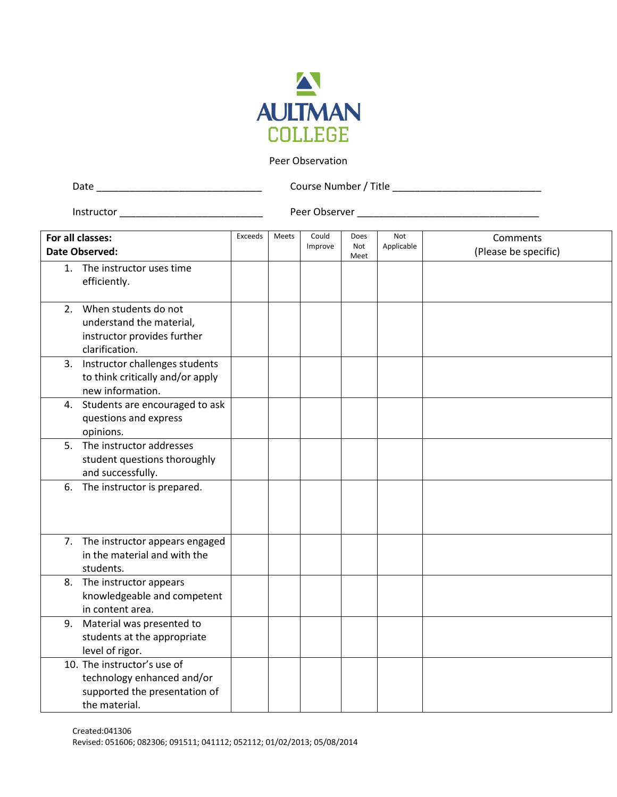

## Peer Observation

| Date | Course Number / Title |
|------|-----------------------|
|      |                       |

Instructor \_\_\_\_\_\_\_\_\_\_\_\_\_\_\_\_\_\_\_\_\_\_\_\_\_\_ Peer Observer \_\_\_\_\_\_\_\_\_\_\_\_\_\_\_\_\_\_\_\_\_\_\_\_\_\_\_\_\_\_\_\_\_

|                | For all classes:                                                                                            | Exceeds | Meets | Could   | Does<br>Not | <b>Not</b> | Comments             |
|----------------|-------------------------------------------------------------------------------------------------------------|---------|-------|---------|-------------|------------|----------------------|
| Date Observed: |                                                                                                             |         |       | Improve | Meet        | Applicable | (Please be specific) |
| 1.             | The instructor uses time<br>efficiently.                                                                    |         |       |         |             |            |                      |
|                | 2. When students do not<br>understand the material,<br>instructor provides further<br>clarification.        |         |       |         |             |            |                      |
| 3.             | Instructor challenges students<br>to think critically and/or apply<br>new information.                      |         |       |         |             |            |                      |
|                | 4. Students are encouraged to ask<br>questions and express<br>opinions.                                     |         |       |         |             |            |                      |
| 5.             | The instructor addresses<br>student questions thoroughly<br>and successfully.                               |         |       |         |             |            |                      |
| 6.             | The instructor is prepared.                                                                                 |         |       |         |             |            |                      |
|                | 7. The instructor appears engaged<br>in the material and with the<br>students.                              |         |       |         |             |            |                      |
| 8.             | The instructor appears<br>knowledgeable and competent<br>in content area.                                   |         |       |         |             |            |                      |
| 9.             | Material was presented to<br>students at the appropriate<br>level of rigor.                                 |         |       |         |             |            |                      |
|                | 10. The instructor's use of<br>technology enhanced and/or<br>supported the presentation of<br>the material. |         |       |         |             |            |                      |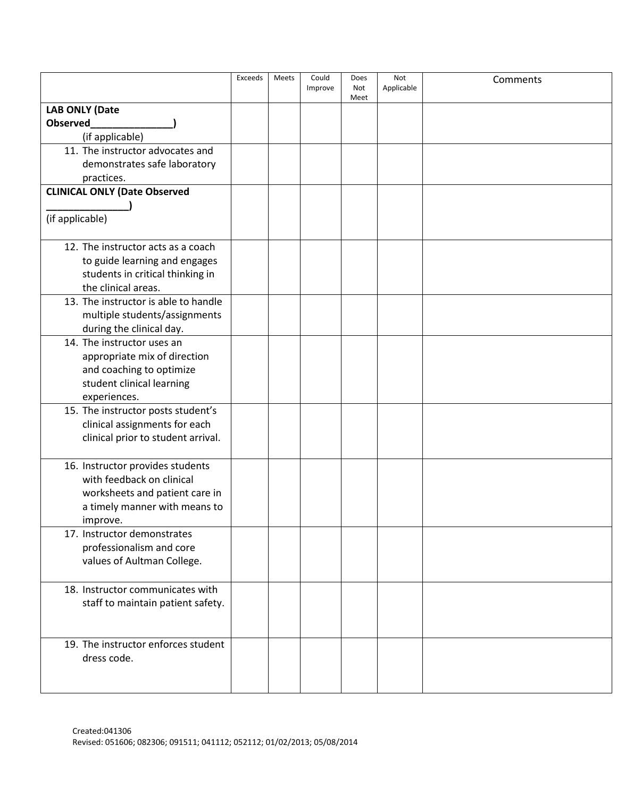|                                                       | Exceeds | Meets | Could<br>Improve | Does<br>Not<br>Meet | Not<br>Applicable | Comments |
|-------------------------------------------------------|---------|-------|------------------|---------------------|-------------------|----------|
| <b>LAB ONLY (Date</b>                                 |         |       |                  |                     |                   |          |
| <b>Observed</b>                                       |         |       |                  |                     |                   |          |
| (if applicable)                                       |         |       |                  |                     |                   |          |
| 11. The instructor advocates and                      |         |       |                  |                     |                   |          |
| demonstrates safe laboratory                          |         |       |                  |                     |                   |          |
| practices.                                            |         |       |                  |                     |                   |          |
| <b>CLINICAL ONLY (Date Observed</b>                   |         |       |                  |                     |                   |          |
|                                                       |         |       |                  |                     |                   |          |
| (if applicable)                                       |         |       |                  |                     |                   |          |
| 12. The instructor acts as a coach                    |         |       |                  |                     |                   |          |
| to guide learning and engages                         |         |       |                  |                     |                   |          |
| students in critical thinking in                      |         |       |                  |                     |                   |          |
| the clinical areas.                                   |         |       |                  |                     |                   |          |
| 13. The instructor is able to handle                  |         |       |                  |                     |                   |          |
| multiple students/assignments                         |         |       |                  |                     |                   |          |
| during the clinical day.                              |         |       |                  |                     |                   |          |
| 14. The instructor uses an                            |         |       |                  |                     |                   |          |
| appropriate mix of direction                          |         |       |                  |                     |                   |          |
| and coaching to optimize<br>student clinical learning |         |       |                  |                     |                   |          |
| experiences.                                          |         |       |                  |                     |                   |          |
| 15. The instructor posts student's                    |         |       |                  |                     |                   |          |
| clinical assignments for each                         |         |       |                  |                     |                   |          |
| clinical prior to student arrival.                    |         |       |                  |                     |                   |          |
|                                                       |         |       |                  |                     |                   |          |
| 16. Instructor provides students                      |         |       |                  |                     |                   |          |
| with feedback on clinical                             |         |       |                  |                     |                   |          |
| worksheets and patient care in                        |         |       |                  |                     |                   |          |
| a timely manner with means to                         |         |       |                  |                     |                   |          |
| improve.<br>17. Instructor demonstrates               |         |       |                  |                     |                   |          |
| professionalism and core                              |         |       |                  |                     |                   |          |
| values of Aultman College.                            |         |       |                  |                     |                   |          |
|                                                       |         |       |                  |                     |                   |          |
| 18. Instructor communicates with                      |         |       |                  |                     |                   |          |
| staff to maintain patient safety.                     |         |       |                  |                     |                   |          |
|                                                       |         |       |                  |                     |                   |          |
|                                                       |         |       |                  |                     |                   |          |
| 19. The instructor enforces student                   |         |       |                  |                     |                   |          |
| dress code.                                           |         |       |                  |                     |                   |          |
|                                                       |         |       |                  |                     |                   |          |
|                                                       |         |       |                  |                     |                   |          |